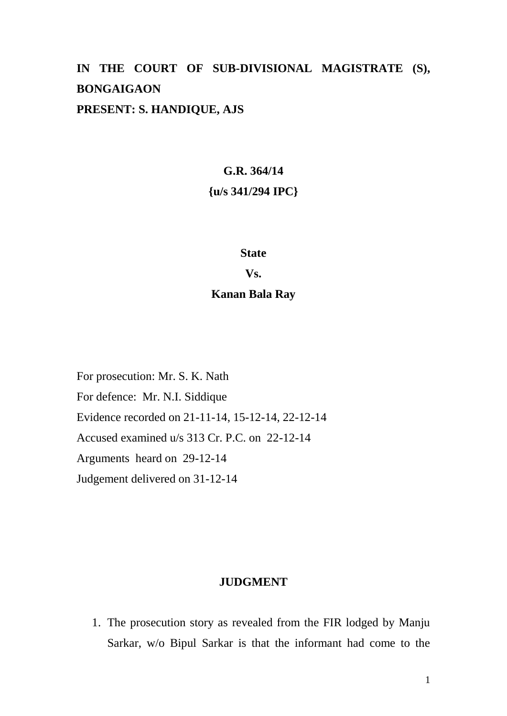# **IN THE COURT OF SUB-DIVISIONAL MAGISTRATE (S), BONGAIGAON PRESENT: S. HANDIQUE, AJS**

# **G.R. 364/14 {u/s 341/294 IPC}**

#### **State**

#### **Vs.**

### **Kanan Bala Ray**

For prosecution: Mr. S. K. Nath For defence: Mr. N.I. Siddique Evidence recorded on 21-11-14, 15-12-14, 22-12-14 Accused examined u/s 313 Cr. P.C. on 22-12-14 Arguments heard on 29-12-14 Judgement delivered on 31-12-14

# **JUDGMENT**

1. The prosecution story as revealed from the FIR lodged by Manju Sarkar, w/o Bipul Sarkar is that the informant had come to the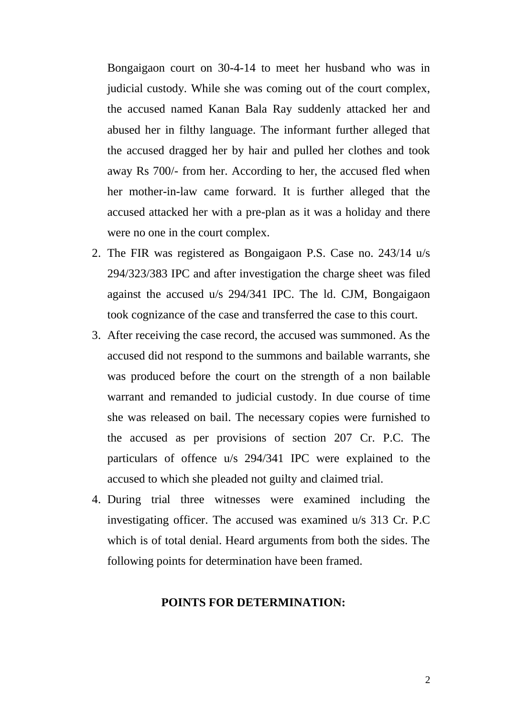Bongaigaon court on 30-4-14 to meet her husband who was in judicial custody. While she was coming out of the court complex, the accused named Kanan Bala Ray suddenly attacked her and abused her in filthy language. The informant further alleged that the accused dragged her by hair and pulled her clothes and took away Rs 700/- from her. According to her, the accused fled when her mother-in-law came forward. It is further alleged that the accused attacked her with a pre-plan as it was a holiday and there were no one in the court complex.

- 2. The FIR was registered as Bongaigaon P.S. Case no. 243/14 u/s 294/323/383 IPC and after investigation the charge sheet was filed against the accused u/s 294/341 IPC. The ld. CJM, Bongaigaon took cognizance of the case and transferred the case to this court.
- 3. After receiving the case record, the accused was summoned. As the accused did not respond to the summons and bailable warrants, she was produced before the court on the strength of a non bailable warrant and remanded to judicial custody. In due course of time she was released on bail. The necessary copies were furnished to the accused as per provisions of section 207 Cr. P.C. The particulars of offence u/s 294/341 IPC were explained to the accused to which she pleaded not guilty and claimed trial.
- 4. During trial three witnesses were examined including the investigating officer. The accused was examined u/s 313 Cr. P.C which is of total denial. Heard arguments from both the sides. The following points for determination have been framed.

#### **POINTS FOR DETERMINATION:**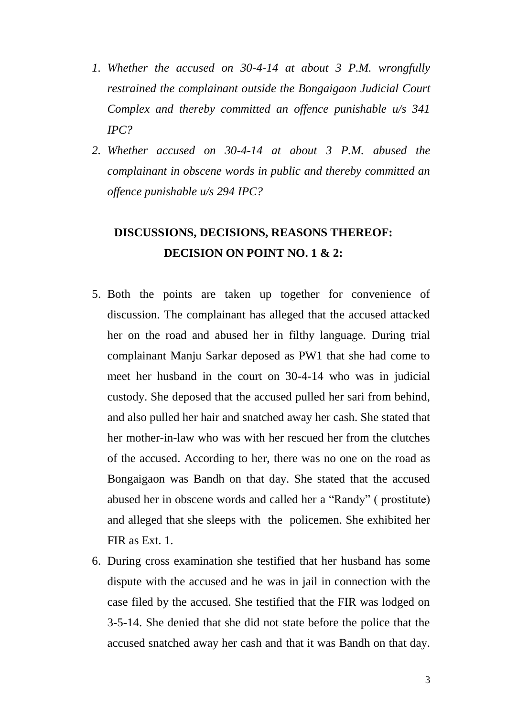- *1. Whether the accused on 30-4-14 at about 3 P.M. wrongfully restrained the complainant outside the Bongaigaon Judicial Court Complex and thereby committed an offence punishable u/s 341 IPC?*
- *2. Whether accused on 30-4-14 at about 3 P.M. abused the complainant in obscene words in public and thereby committed an offence punishable u/s 294 IPC?*

# **DISCUSSIONS, DECISIONS, REASONS THEREOF: DECISION ON POINT NO. 1 & 2:**

- 5. Both the points are taken up together for convenience of discussion. The complainant has alleged that the accused attacked her on the road and abused her in filthy language. During trial complainant Manju Sarkar deposed as PW1 that she had come to meet her husband in the court on 30-4-14 who was in judicial custody. She deposed that the accused pulled her sari from behind, and also pulled her hair and snatched away her cash. She stated that her mother-in-law who was with her rescued her from the clutches of the accused. According to her, there was no one on the road as Bongaigaon was Bandh on that day. She stated that the accused abused her in obscene words and called her a "Randy" ( prostitute) and alleged that she sleeps with the policemen. She exhibited her FIR as Ext. 1.
- 6. During cross examination she testified that her husband has some dispute with the accused and he was in jail in connection with the case filed by the accused. She testified that the FIR was lodged on 3-5-14. She denied that she did not state before the police that the accused snatched away her cash and that it was Bandh on that day.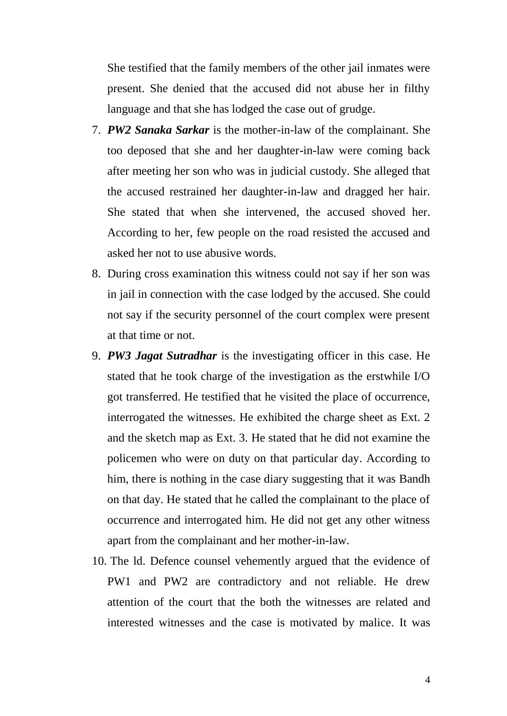She testified that the family members of the other jail inmates were present. She denied that the accused did not abuse her in filthy language and that she has lodged the case out of grudge.

- 7. *PW2 Sanaka Sarkar* is the mother-in-law of the complainant. She too deposed that she and her daughter-in-law were coming back after meeting her son who was in judicial custody. She alleged that the accused restrained her daughter-in-law and dragged her hair. She stated that when she intervened, the accused shoved her. According to her, few people on the road resisted the accused and asked her not to use abusive words.
- 8. During cross examination this witness could not say if her son was in jail in connection with the case lodged by the accused. She could not say if the security personnel of the court complex were present at that time or not.
- 9. *PW3 Jagat Sutradhar* is the investigating officer in this case. He stated that he took charge of the investigation as the erstwhile I/O got transferred. He testified that he visited the place of occurrence, interrogated the witnesses. He exhibited the charge sheet as Ext. 2 and the sketch map as Ext. 3. He stated that he did not examine the policemen who were on duty on that particular day. According to him, there is nothing in the case diary suggesting that it was Bandh on that day. He stated that he called the complainant to the place of occurrence and interrogated him. He did not get any other witness apart from the complainant and her mother-in-law.
- 10. The ld. Defence counsel vehemently argued that the evidence of PW1 and PW2 are contradictory and not reliable. He drew attention of the court that the both the witnesses are related and interested witnesses and the case is motivated by malice. It was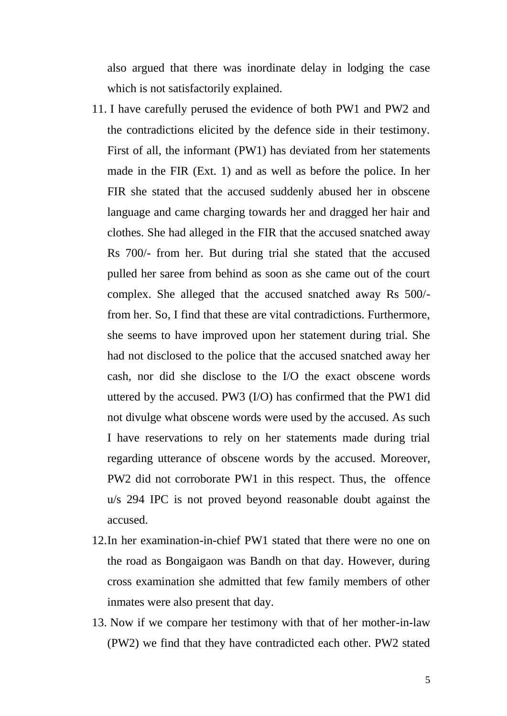also argued that there was inordinate delay in lodging the case which is not satisfactorily explained.

- 11. I have carefully perused the evidence of both PW1 and PW2 and the contradictions elicited by the defence side in their testimony. First of all, the informant (PW1) has deviated from her statements made in the FIR (Ext. 1) and as well as before the police. In her FIR she stated that the accused suddenly abused her in obscene language and came charging towards her and dragged her hair and clothes. She had alleged in the FIR that the accused snatched away Rs 700/- from her. But during trial she stated that the accused pulled her saree from behind as soon as she came out of the court complex. She alleged that the accused snatched away Rs 500/ from her. So, I find that these are vital contradictions. Furthermore, she seems to have improved upon her statement during trial. She had not disclosed to the police that the accused snatched away her cash, nor did she disclose to the I/O the exact obscene words uttered by the accused. PW3 (I/O) has confirmed that the PW1 did not divulge what obscene words were used by the accused. As such I have reservations to rely on her statements made during trial regarding utterance of obscene words by the accused. Moreover, PW2 did not corroborate PW1 in this respect. Thus, the offence u/s 294 IPC is not proved beyond reasonable doubt against the accused.
- 12.In her examination-in-chief PW1 stated that there were no one on the road as Bongaigaon was Bandh on that day. However, during cross examination she admitted that few family members of other inmates were also present that day.
- 13. Now if we compare her testimony with that of her mother-in-law (PW2) we find that they have contradicted each other. PW2 stated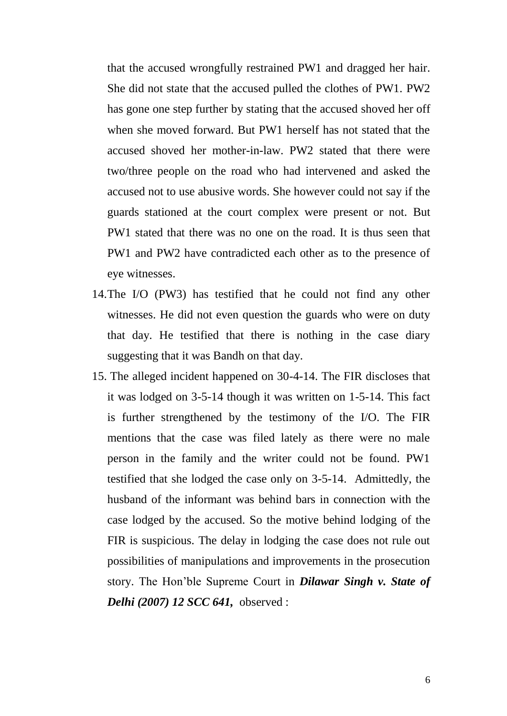that the accused wrongfully restrained PW1 and dragged her hair. She did not state that the accused pulled the clothes of PW1. PW2 has gone one step further by stating that the accused shoved her off when she moved forward. But PW1 herself has not stated that the accused shoved her mother-in-law. PW2 stated that there were two/three people on the road who had intervened and asked the accused not to use abusive words. She however could not say if the guards stationed at the court complex were present or not. But PW1 stated that there was no one on the road. It is thus seen that PW1 and PW2 have contradicted each other as to the presence of eye witnesses.

- 14.The I/O (PW3) has testified that he could not find any other witnesses. He did not even question the guards who were on duty that day. He testified that there is nothing in the case diary suggesting that it was Bandh on that day.
- 15. The alleged incident happened on 30-4-14. The FIR discloses that it was lodged on 3-5-14 though it was written on 1-5-14. This fact is further strengthened by the testimony of the I/O. The FIR mentions that the case was filed lately as there were no male person in the family and the writer could not be found. PW1 testified that she lodged the case only on 3-5-14. Admittedly, the husband of the informant was behind bars in connection with the case lodged by the accused. So the motive behind lodging of the FIR is suspicious. The delay in lodging the case does not rule out possibilities of manipulations and improvements in the prosecution story. The Hon'ble Supreme Court in *Dilawar Singh v. State of Delhi (2007) 12 SCC 641,* observed :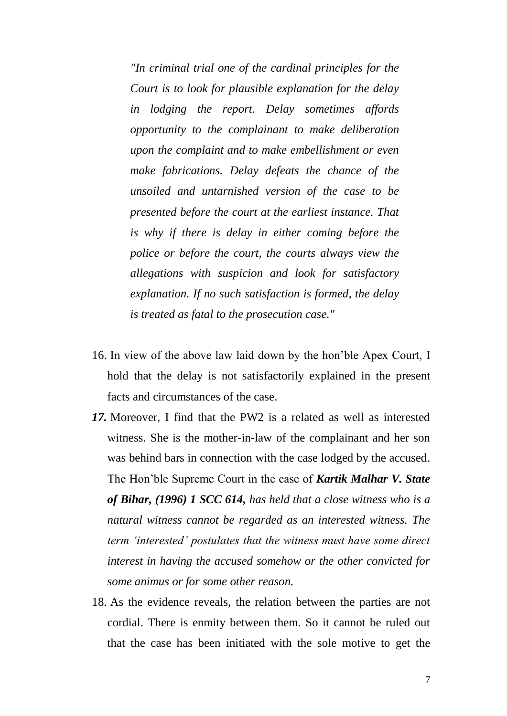*"In criminal trial one of the cardinal principles for the Court is to look for plausible explanation for the delay in lodging the report. Delay sometimes affords opportunity to the complainant to make deliberation upon the complaint and to make embellishment or even make fabrications. Delay defeats the chance of the unsoiled and untarnished version of the case to be presented before the court at the earliest instance. That is why if there is delay in either coming before the police or before the court, the courts always view the allegations with suspicion and look for satisfactory explanation. If no such satisfaction is formed, the delay is treated as fatal to the prosecution case."*

- 16. In view of the above law laid down by the hon'ble Apex Court, I hold that the delay is not satisfactorily explained in the present facts and circumstances of the case.
- *17.* Moreover, I find that the PW2 is a related as well as interested witness. She is the mother-in-law of the complainant and her son was behind bars in connection with the case lodged by the accused. The Hon'ble Supreme Court in the case of *Kartik Malhar V. State of Bihar, (1996) 1 SCC 614, has held that a close witness who is a natural witness cannot be regarded as an interested witness. The term 'interested' postulates that the witness must have some direct interest in having the accused somehow or the other convicted for some animus or for some other reason.*
- 18. As the evidence reveals, the relation between the parties are not cordial. There is enmity between them. So it cannot be ruled out that the case has been initiated with the sole motive to get the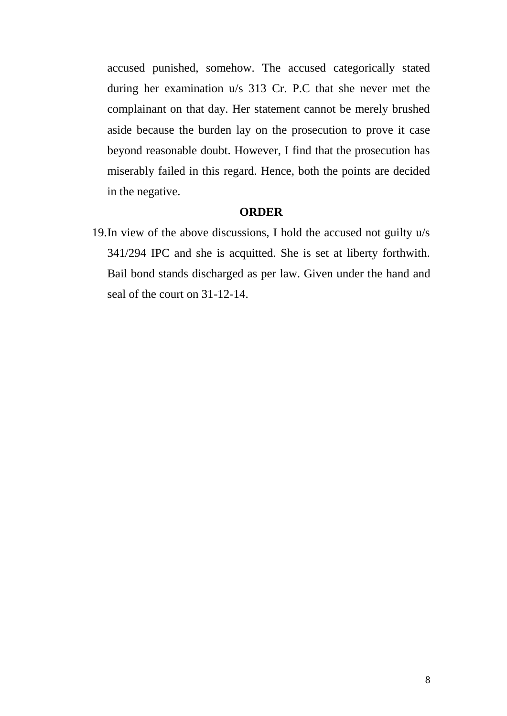accused punished, somehow. The accused categorically stated during her examination u/s 313 Cr. P.C that she never met the complainant on that day. Her statement cannot be merely brushed aside because the burden lay on the prosecution to prove it case beyond reasonable doubt. However, I find that the prosecution has miserably failed in this regard. Hence, both the points are decided in the negative.

### **ORDER**

19.In view of the above discussions, I hold the accused not guilty u/s 341/294 IPC and she is acquitted. She is set at liberty forthwith. Bail bond stands discharged as per law. Given under the hand and seal of the court on 31-12-14.